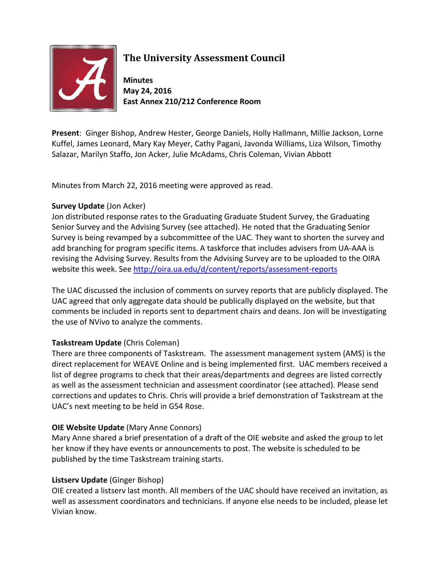

## **The University Assessment Council**

**Minutes May 24, 2016 East Annex 210/212 Conference Room**

**Present**: Ginger Bishop, Andrew Hester, George Daniels, Holly Hallmann, Millie Jackson, Lorne Kuffel, James Leonard, Mary Kay Meyer, Cathy Pagani, Javonda Williams, Liza Wilson, Timothy Salazar, Marilyn Staffo, Jon Acker, Julie McAdams, Chris Coleman, Vivian Abbott

Minutes from March 22, 2016 meeting were approved as read.

## **Survey Update** (Jon Acker)

Jon distributed response rates to the Graduating Graduate Student Survey, the Graduating Senior Survey and the Advising Survey (see attached). He noted that the Graduating Senior Survey is being revamped by a subcommittee of the UAC. They want to shorten the survey and add branching for program specific items. A taskforce that includes advisers from UA-AAA is revising the Advising Survey. Results from the Advising Survey are to be uploaded to the OIRA website this week. See<http://oira.ua.edu/d/content/reports/assessment-reports>

The UAC discussed the inclusion of comments on survey reports that are publicly displayed. The UAC agreed that only aggregate data should be publically displayed on the website, but that comments be included in reports sent to department chairs and deans. Jon will be investigating the use of NVivo to analyze the comments.

## **Taskstream Update** (Chris Coleman)

There are three components of Taskstream. The assessment management system (AMS) is the direct replacement for WEAVE Online and is being implemented first. UAC members received a list of degree programs to check that their areas/departments and degrees are listed correctly as well as the assessment technician and assessment coordinator (see attached). Please send corrections and updates to Chris. Chris will provide a brief demonstration of Taskstream at the UAC's next meeting to be held in G54 Rose.

## **OIE Website Update** (Mary Anne Connors)

Mary Anne shared a brief presentation of a draft of the OIE website and asked the group to let her know if they have events or announcements to post. The website is scheduled to be published by the time Taskstream training starts.

## **Listserv Update** (Ginger Bishop)

OIE created a listserv last month. All members of the UAC should have received an invitation, as well as assessment coordinators and technicians. If anyone else needs to be included, please let Vivian know.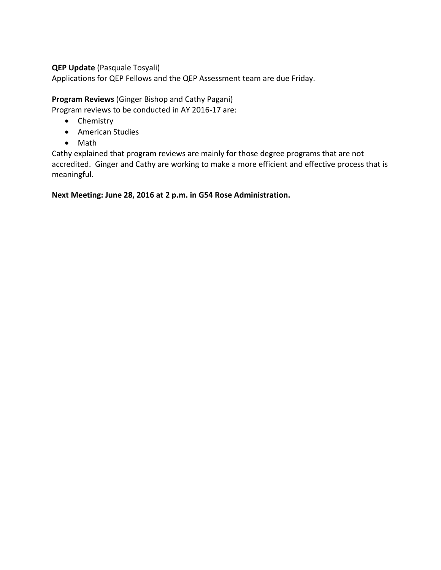### **QEP Update** (Pasquale Tosyali)

Applications for QEP Fellows and the QEP Assessment team are due Friday.

**Program Reviews** (Ginger Bishop and Cathy Pagani)

Program reviews to be conducted in AY 2016-17 are:

- Chemistry
- American Studies
- Math

Cathy explained that program reviews are mainly for those degree programs that are not accredited. Ginger and Cathy are working to make a more efficient and effective process that is meaningful.

**Next Meeting: June 28, 2016 at 2 p.m. in G54 Rose Administration.**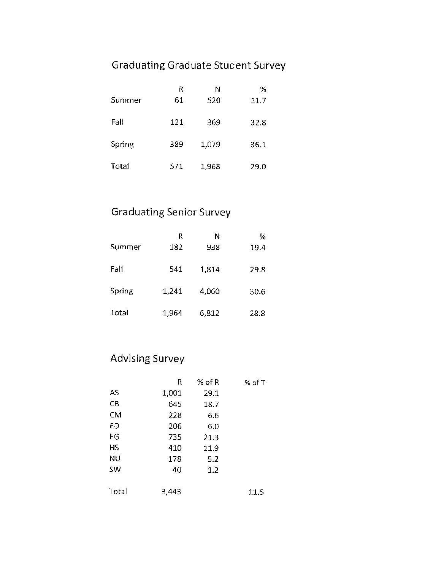# **Graduating Graduate Student Survey**

|        | R   | Ν     | %    |
|--------|-----|-------|------|
| Summer | 61  | 520   | 11.7 |
| Fall   | 121 | 369   | 32.8 |
| Spring | 389 | 1,079 | 36.1 |
| Total  | 571 | 1,968 | 29.0 |

# **Graduating Senior Survey**

| Summer | R<br>182 | Ν<br>938 | %<br>19.4 |
|--------|----------|----------|-----------|
| Fall   | 541      | 1,814    | 29.8      |
| Spring | 1,241    | 4,060    | 30.6      |
| Total  | 1,964    | 6,812    | 28.8      |

## **Advising Survey**

|           | R     | $%$ of R | % of T |
|-----------|-------|----------|--------|
| AS        | 1,001 | 29.1     |        |
| CB        | 645   | 18.7     |        |
| CM        | 228   | 6.6      |        |
| ED        | 206   | 6.0      |        |
| EG        | 735   | 21.3     |        |
| НS        | 410   | 11.9     |        |
| ΝU        | 178   | 5.2      |        |
| <b>SW</b> | 40    | 1.2      |        |
|           |       |          |        |
| Total     | 3,443 |          | 11.5   |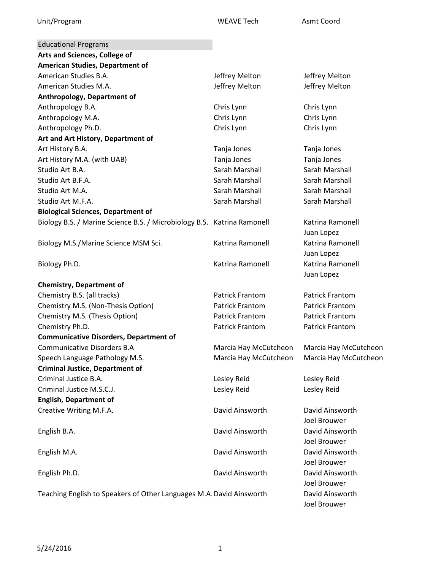| <b>Educational Programs</b>                                             |                        |                        |
|-------------------------------------------------------------------------|------------------------|------------------------|
| Arts and Sciences, College of                                           |                        |                        |
| <b>American Studies, Department of</b>                                  |                        |                        |
| American Studies B.A.                                                   | Jeffrey Melton         | Jeffrey Melton         |
| American Studies M.A.                                                   | Jeffrey Melton         | Jeffrey Melton         |
| Anthropology, Department of                                             |                        |                        |
| Anthropology B.A.                                                       | Chris Lynn             | Chris Lynn             |
| Anthropology M.A.                                                       | Chris Lynn             | Chris Lynn             |
| Anthropology Ph.D.                                                      | Chris Lynn             | Chris Lynn             |
| Art and Art History, Department of                                      |                        |                        |
| Art History B.A.                                                        | Tanja Jones            | Tanja Jones            |
| Art History M.A. (with UAB)                                             | Tanja Jones            | Tanja Jones            |
| Studio Art B.A.                                                         | Sarah Marshall         | Sarah Marshall         |
| Studio Art B.F.A.                                                       | Sarah Marshall         | Sarah Marshall         |
| Studio Art M.A.                                                         | Sarah Marshall         | Sarah Marshall         |
| Studio Art M.F.A.                                                       | Sarah Marshall         | Sarah Marshall         |
| <b>Biological Sciences, Department of</b>                               |                        |                        |
| Biology B.S. / Marine Science B.S. / Microbiology B.S. Katrina Ramonell |                        | Katrina Ramonell       |
|                                                                         |                        | Juan Lopez             |
| Biology M.S./Marine Science MSM Sci.                                    | Katrina Ramonell       | Katrina Ramonell       |
|                                                                         |                        | Juan Lopez             |
| Biology Ph.D.                                                           | Katrina Ramonell       | Katrina Ramonell       |
|                                                                         |                        | Juan Lopez             |
| <b>Chemistry, Department of</b>                                         |                        |                        |
| Chemistry B.S. (all tracks)                                             | <b>Patrick Frantom</b> | <b>Patrick Frantom</b> |
| Chemistry M.S. (Non-Thesis Option)                                      | <b>Patrick Frantom</b> | <b>Patrick Frantom</b> |
| Chemistry M.S. (Thesis Option)                                          | Patrick Frantom        | <b>Patrick Frantom</b> |
| Chemistry Ph.D.                                                         | Patrick Frantom        | <b>Patrick Frantom</b> |
| <b>Communicative Disorders, Department of</b>                           |                        |                        |
| <b>Communicative Disorders B.A</b>                                      | Marcia Hay McCutcheon  | Marcia Hay McCutcheon  |
| Speech Language Pathology M.S.                                          | Marcia Hay McCutcheon  | Marcia Hay McCutcheon  |
| <b>Criminal Justice, Department of</b>                                  |                        |                        |
| Criminal Justice B.A.                                                   | Lesley Reid            | Lesley Reid            |
| Criminal Justice M.S.C.J.                                               | Lesley Reid            | Lesley Reid            |
| <b>English, Department of</b>                                           |                        |                        |
| Creative Writing M.F.A.                                                 | David Ainsworth        | David Ainsworth        |
|                                                                         |                        | Joel Brouwer           |
| English B.A.                                                            | David Ainsworth        | David Ainsworth        |
|                                                                         |                        | Joel Brouwer           |
| English M.A.                                                            | David Ainsworth        | David Ainsworth        |
|                                                                         |                        | Joel Brouwer           |
| English Ph.D.                                                           | David Ainsworth        | David Ainsworth        |
|                                                                         |                        | Joel Brouwer           |
| Teaching English to Speakers of Other Languages M.A. David Ainsworth    |                        | David Ainsworth        |
|                                                                         |                        | Joel Brouwer           |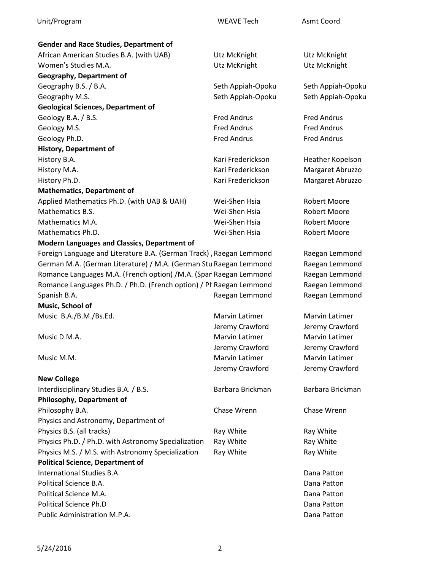| Unit/Program                                                        | <b>WEAVE Tech</b>     | Asmt Coord            |
|---------------------------------------------------------------------|-----------------------|-----------------------|
| <b>Gender and Race Studies, Department of</b>                       |                       |                       |
| African American Studies B.A. (with UAB)                            | Utz McKnight          | Utz McKnight          |
| Women's Studies M.A.                                                | Utz McKnight          | Utz McKnight          |
| Geography, Department of                                            |                       |                       |
| Geography B.S. / B.A.                                               | Seth Appiah-Opoku     | Seth Appiah-Opoku     |
| Geography M.S.                                                      | Seth Appiah-Opoku     | Seth Appiah-Opoku     |
| <b>Geological Sciences, Department of</b>                           |                       |                       |
| Geology B.A. / B.S.                                                 | <b>Fred Andrus</b>    | <b>Fred Andrus</b>    |
| Geology M.S.                                                        | <b>Fred Andrus</b>    | <b>Fred Andrus</b>    |
| Geology Ph.D.                                                       | <b>Fred Andrus</b>    | <b>Fred Andrus</b>    |
| <b>History, Department of</b>                                       |                       |                       |
| History B.A.                                                        | Kari Frederickson     | Heather Kopelson      |
| History M.A.                                                        | Kari Frederickson     | Margaret Abruzzo      |
| History Ph.D.                                                       | Kari Frederickson     | Margaret Abruzzo      |
| <b>Mathematics, Department of</b>                                   |                       |                       |
|                                                                     | Wei-Shen Hsia         | <b>Robert Moore</b>   |
| Applied Mathematics Ph.D. (with UAB & UAH)<br>Mathematics B.S.      | Wei-Shen Hsia         | <b>Robert Moore</b>   |
| Mathematics M.A.                                                    | Wei-Shen Hsia         |                       |
|                                                                     |                       | <b>Robert Moore</b>   |
| Mathematics Ph.D.                                                   | Wei-Shen Hsia         | <b>Robert Moore</b>   |
| Modern Languages and Classics, Department of                        |                       |                       |
| Foreign Language and Literature B.A. (German Track), Raegan Lemmond |                       | Raegan Lemmond        |
| German M.A. (German Literature) / M.A. (German Stu Raegan Lemmond   |                       | Raegan Lemmond        |
| Romance Languages M.A. (French option) /M.A. (Span Raegan Lemmond   |                       | Raegan Lemmond        |
| Romance Languages Ph.D. / Ph.D. (French option) / Pr Raegan Lemmond |                       | Raegan Lemmond        |
| Spanish B.A.                                                        | Raegan Lemmond        | Raegan Lemmond        |
| Music, School of                                                    |                       |                       |
| Music B.A./B.M./Bs.Ed.                                              | <b>Marvin Latimer</b> | Marvin Latimer        |
|                                                                     | Jeremy Crawford       | Jeremy Crawford       |
| Music D.M.A.                                                        | Marvin Latimer        | Marvin Latimer        |
|                                                                     | Jeremy Crawford       | Jeremy Crawford       |
| Music M.M.                                                          | <b>Marvin Latimer</b> | <b>Marvin Latimer</b> |
|                                                                     | Jeremy Crawford       | Jeremy Crawford       |
| <b>New College</b>                                                  |                       |                       |
| Interdisciplinary Studies B.A. / B.S.                               | Barbara Brickman      | Barbara Brickman      |
| Philosophy, Department of                                           |                       |                       |
| Philosophy B.A.                                                     | Chase Wrenn           | Chase Wrenn           |
| Physics and Astronomy, Department of                                |                       |                       |
| Physics B.S. (all tracks)                                           | Ray White             | Ray White             |
| Physics Ph.D. / Ph.D. with Astronomy Specialization                 | Ray White             | Ray White             |
| Physics M.S. / M.S. with Astronomy Specialization                   | Ray White             | Ray White             |
| <b>Political Science, Department of</b>                             |                       |                       |
| International Studies B.A.                                          |                       | Dana Patton           |
| Political Science B.A.                                              |                       | Dana Patton           |
| Political Science M.A.                                              |                       | Dana Patton           |
| <b>Political Science Ph.D</b>                                       |                       | Dana Patton           |
| Public Administration M.P.A.                                        |                       | Dana Patton           |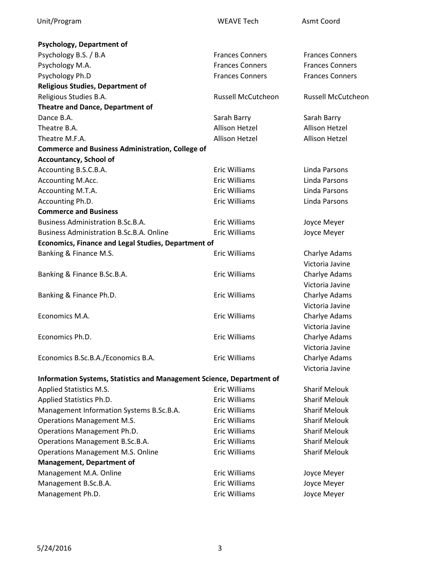| Psychology, Department of                                             |                        |                           |
|-----------------------------------------------------------------------|------------------------|---------------------------|
| Psychology B.S. / B.A                                                 | <b>Frances Conners</b> | <b>Frances Conners</b>    |
| Psychology M.A.                                                       | <b>Frances Conners</b> | <b>Frances Conners</b>    |
| Psychology Ph.D                                                       | <b>Frances Conners</b> | <b>Frances Conners</b>    |
| <b>Religious Studies, Department of</b>                               |                        |                           |
| Religious Studies B.A.                                                | Russell McCutcheon     | <b>Russell McCutcheon</b> |
| Theatre and Dance, Department of                                      |                        |                           |
| Dance B.A.                                                            | Sarah Barry            | Sarah Barry               |
| Theatre B.A.                                                          | <b>Allison Hetzel</b>  | <b>Allison Hetzel</b>     |
| Theatre M.F.A.                                                        | <b>Allison Hetzel</b>  | <b>Allison Hetzel</b>     |
| <b>Commerce and Business Administration, College of</b>               |                        |                           |
| <b>Accountancy, School of</b>                                         |                        |                           |
| Accounting B.S.C.B.A.                                                 | <b>Eric Williams</b>   | Linda Parsons             |
| Accounting M.Acc.                                                     | <b>Eric Williams</b>   | Linda Parsons             |
| Accounting M.T.A.                                                     | <b>Eric Williams</b>   | Linda Parsons             |
| Accounting Ph.D.                                                      | <b>Eric Williams</b>   | Linda Parsons             |
| <b>Commerce and Business</b>                                          |                        |                           |
| <b>Business Administration B.Sc.B.A.</b>                              | <b>Eric Williams</b>   | Joyce Meyer               |
| <b>Business Administration B.Sc.B.A. Online</b>                       | <b>Eric Williams</b>   | Joyce Meyer               |
| <b>Economics, Finance and Legal Studies, Department of</b>            |                        |                           |
| Banking & Finance M.S.                                                | <b>Eric Williams</b>   | Charlye Adams             |
|                                                                       |                        | Victoria Javine           |
| Banking & Finance B.Sc.B.A.                                           | <b>Eric Williams</b>   | Charlye Adams             |
|                                                                       |                        | Victoria Javine           |
| Banking & Finance Ph.D.                                               | <b>Eric Williams</b>   | Charlye Adams             |
|                                                                       |                        | Victoria Javine           |
| Economics M.A.                                                        | <b>Eric Williams</b>   | Charlye Adams             |
|                                                                       |                        | Victoria Javine           |
| Economics Ph.D.                                                       | <b>Eric Williams</b>   | Charlye Adams             |
|                                                                       |                        | Victoria Javine           |
| Economics B.Sc.B.A./Economics B.A.                                    | Eric Williams          | Charlye Adams             |
|                                                                       |                        | Victoria Javine           |
| Information Systems, Statistics and Management Science, Department of |                        |                           |
| Applied Statistics M.S.                                               | <b>Eric Williams</b>   | <b>Sharif Melouk</b>      |
| Applied Statistics Ph.D.                                              | <b>Eric Williams</b>   | <b>Sharif Melouk</b>      |
| Management Information Systems B.Sc.B.A.                              | <b>Eric Williams</b>   | <b>Sharif Melouk</b>      |
| <b>Operations Management M.S.</b>                                     | Eric Williams          | <b>Sharif Melouk</b>      |
| Operations Management Ph.D.                                           | Eric Williams          | <b>Sharif Melouk</b>      |
| Operations Management B.Sc.B.A.                                       | <b>Eric Williams</b>   | <b>Sharif Melouk</b>      |
| <b>Operations Management M.S. Online</b>                              | <b>Eric Williams</b>   | <b>Sharif Melouk</b>      |
| <b>Management, Department of</b>                                      |                        |                           |
| Management M.A. Online                                                | <b>Eric Williams</b>   | Joyce Meyer               |
| Management B.Sc.B.A.                                                  | <b>Eric Williams</b>   | Joyce Meyer               |
| Management Ph.D.                                                      | Eric Williams          | Joyce Meyer               |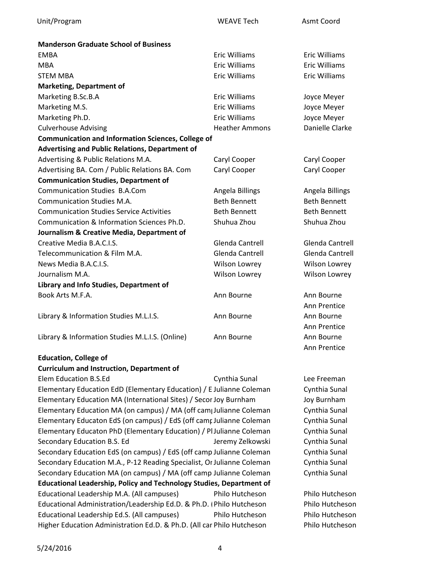| <b>Manderson Graduate School of Business</b>                         |                       |                      |
|----------------------------------------------------------------------|-----------------------|----------------------|
| <b>EMBA</b>                                                          | <b>Eric Williams</b>  | <b>Eric Williams</b> |
| <b>MBA</b>                                                           | <b>Eric Williams</b>  | <b>Eric Williams</b> |
| <b>STEM MBA</b>                                                      | <b>Eric Williams</b>  | <b>Eric Williams</b> |
| <b>Marketing, Department of</b>                                      |                       |                      |
| Marketing B.Sc.B.A                                                   | <b>Eric Williams</b>  | Joyce Meyer          |
| Marketing M.S.                                                       | <b>Eric Williams</b>  | Joyce Meyer          |
| Marketing Ph.D.                                                      | <b>Eric Williams</b>  | Joyce Meyer          |
| <b>Culverhouse Advising</b>                                          | <b>Heather Ammons</b> | Danielle Clarke      |
| <b>Communication and Information Sciences, College of</b>            |                       |                      |
| Advertising and Public Relations, Department of                      |                       |                      |
| Advertising & Public Relations M.A.                                  | Caryl Cooper          | Caryl Cooper         |
| Advertising BA. Com / Public Relations BA. Com                       | Caryl Cooper          | Caryl Cooper         |
| <b>Communication Studies, Department of</b>                          |                       |                      |
| <b>Communication Studies B.A.Com</b>                                 | Angela Billings       | Angela Billings      |
| Communication Studies M.A.                                           | <b>Beth Bennett</b>   | <b>Beth Bennett</b>  |
| <b>Communication Studies Service Activities</b>                      | <b>Beth Bennett</b>   | <b>Beth Bennett</b>  |
| Communication & Information Sciences Ph.D.                           | Shuhua Zhou           | Shuhua Zhou          |
| Journalism & Creative Media, Department of                           |                       |                      |
| Creative Media B.A.C.I.S.                                            | Glenda Cantrell       | Glenda Cantrell      |
| Telecommunication & Film M.A.                                        | Glenda Cantrell       | Glenda Cantrell      |
| News Media B.A.C.I.S.                                                | Wilson Lowrey         | Wilson Lowrey        |
| Journalism M.A.                                                      | Wilson Lowrey         | Wilson Lowrey        |
| Library and Info Studies, Department of                              |                       |                      |
| Book Arts M.F.A.                                                     | Ann Bourne            | Ann Bourne           |
|                                                                      |                       | Ann Prentice         |
| Library & Information Studies M.L.I.S.                               | Ann Bourne            | Ann Bourne           |
|                                                                      |                       | Ann Prentice         |
| Library & Information Studies M.L.I.S. (Online)                      | Ann Bourne            | Ann Bourne           |
|                                                                      |                       | Ann Prentice         |
| <b>Education, College of</b>                                         |                       |                      |
| <b>Curriculum and Instruction, Department of</b>                     |                       |                      |
| Elem Education B.S.Ed                                                | Cynthia Sunal         | Lee Freeman          |
| Elementary Education EdD (Elementary Education) / E Julianne Coleman |                       | Cynthia Sunal        |
| Elementary Education MA (International Sites) / Secor Joy Burnham    |                       | <b>Joy Burnham</b>   |
|                                                                      |                       |                      |

Elementary Education MA (on campus) / MA (off campJulianne Coleman Cynthia Sunal Elementary Educaton EdS (on campus) / EdS (off campJulianne Coleman Cynthia Sunal Elementary Educaton PhD (Elementary Education) / Pl Julianne Coleman Cynthia Sunal Secondary Education B.S. Ed **Secondary Education B.S. Education Cynthia Sunal** Secondary Education EdS (on campus) / EdS (off camp Julianne Coleman Cynthia Sunal Secondary Education M.A., P-12 Reading Specialist, Or Julianne Coleman Cynthia Sunal Secondary Education MA (on campus) / MA (off camp Julianne Coleman Cynthia Sunal **Educational Leadership, Policy and Technology Studies, Department of** Educational Leadership M.A. (All campuses) Philo Hutcheson Philo Hutcheson Educational Administration/Leadership Ed.D. & Ph.D. ( Philo Hutcheson Philo Hutcheson Educational Leadership Ed.S. (All campuses) Philo Hutcheson Philo Hutcheson Higher Education Administration Ed.D. & Ph.D. (All car Philo Hutcheson Philo Hutcheson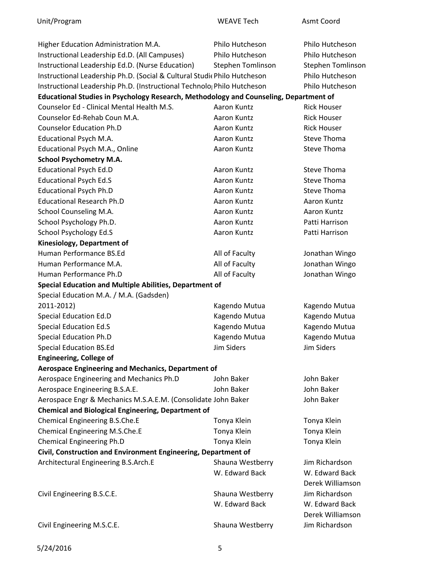Unit/Program WEAVE Tech Asmt Coord

| Higher Education Administration M.A.                                                  | Philo Hutcheson          | Philo Hutcheson          |
|---------------------------------------------------------------------------------------|--------------------------|--------------------------|
| Instructional Leadership Ed.D. (All Campuses)                                         | Philo Hutcheson          | Philo Hutcheson          |
| Instructional Leadership Ed.D. (Nurse Education)                                      | <b>Stephen Tomlinson</b> | <b>Stephen Tomlinson</b> |
| Instructional Leadership Ph.D. (Social & Cultural Studic Philo Hutcheson              |                          | Philo Hutcheson          |
| Instructional Leadership Ph.D. (Instructional Technolo; Philo Hutcheson               |                          | Philo Hutcheson          |
| Educational Studies in Psychology Research, Methodology and Counseling, Department of |                          |                          |
| Counselor Ed - Clinical Mental Health M.S.                                            | Aaron Kuntz              | <b>Rick Houser</b>       |
| Counselor Ed-Rehab Coun M.A.                                                          | Aaron Kuntz              | <b>Rick Houser</b>       |
| <b>Counselor Education Ph.D</b>                                                       | Aaron Kuntz              | <b>Rick Houser</b>       |
| Educational Psych M.A.                                                                | Aaron Kuntz              | Steve Thoma              |
| Educational Psych M.A., Online                                                        | Aaron Kuntz              | Steve Thoma              |
| <b>School Psychometry M.A.</b>                                                        |                          |                          |
| <b>Educational Psych Ed.D</b>                                                         | Aaron Kuntz              | Steve Thoma              |
| <b>Educational Psych Ed.S</b>                                                         | Aaron Kuntz              | Steve Thoma              |
| <b>Educational Psych Ph.D</b>                                                         | Aaron Kuntz              | Steve Thoma              |
| <b>Educational Research Ph.D</b>                                                      | Aaron Kuntz              | Aaron Kuntz              |
| School Counseling M.A.                                                                | Aaron Kuntz              | Aaron Kuntz              |
| School Psychology Ph.D.                                                               | Aaron Kuntz              | Patti Harrison           |
| School Psychology Ed.S                                                                | Aaron Kuntz              | Patti Harrison           |
| Kinesiology, Department of                                                            |                          |                          |
| Human Performance BS.Ed                                                               | All of Faculty           | Jonathan Wingo           |
| Human Performance M.A.                                                                | All of Faculty           | Jonathan Wingo           |
| Human Performance Ph.D                                                                | All of Faculty           | Jonathan Wingo           |
| Special Education and Multiple Abilities, Department of                               |                          |                          |
| Special Education M.A. / M.A. (Gadsden)                                               |                          |                          |
| 2011-2012)                                                                            | Kagendo Mutua            | Kagendo Mutua            |
| Special Education Ed.D                                                                | Kagendo Mutua            | Kagendo Mutua            |
| <b>Special Education Ed.S</b>                                                         | Kagendo Mutua            | Kagendo Mutua            |
| <b>Special Education Ph.D</b>                                                         | Kagendo Mutua            | Kagendo Mutua            |
| <b>Special Education BS.Ed</b>                                                        | <b>Jim Siders</b>        | <b>Jim Siders</b>        |
| <b>Engineering, College of</b>                                                        |                          |                          |
| <b>Aerospace Engineering and Mechanics, Department of</b>                             |                          |                          |
| Aerospace Engineering and Mechanics Ph.D                                              | John Baker               | John Baker               |
| Aerospace Engineering B.S.A.E.                                                        | John Baker               | John Baker               |
| Aerospace Engr & Mechanics M.S.A.E.M. (Consolidate John Baker                         |                          | John Baker               |
| <b>Chemical and Biological Engineering, Department of</b>                             |                          |                          |
| Chemical Engineering B.S.Che.E                                                        | Tonya Klein              | Tonya Klein              |
| Chemical Engineering M.S.Che.E                                                        | Tonya Klein              | Tonya Klein              |
| <b>Chemical Engineering Ph.D</b>                                                      | Tonya Klein              | Tonya Klein              |
| Civil, Construction and Environment Engineering, Department of                        |                          |                          |
| Architectural Engineering B.S.Arch.E                                                  | Shauna Westberry         | Jim Richardson           |
|                                                                                       | W. Edward Back           | W. Edward Back           |
|                                                                                       |                          | Derek Williamson         |
| Civil Engineering B.S.C.E.                                                            | Shauna Westberry         | Jim Richardson           |
|                                                                                       | W. Edward Back           | W. Edward Back           |
|                                                                                       |                          | Derek Williamson         |
| Civil Engineering M.S.C.E.                                                            | Shauna Westberry         | Jim Richardson           |
|                                                                                       |                          |                          |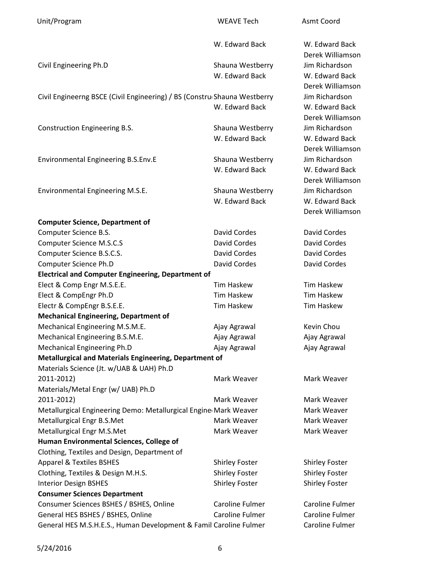| Unit/Program                                                                                   | <b>WEAVE Tech</b>     | Asmt Coord                         |
|------------------------------------------------------------------------------------------------|-----------------------|------------------------------------|
|                                                                                                | W. Edward Back        | W. Edward Back<br>Derek Williamson |
| Civil Engineering Ph.D                                                                         | Shauna Westberry      | Jim Richardson                     |
|                                                                                                | W. Edward Back        | W. Edward Back                     |
|                                                                                                |                       | Derek Williamson                   |
| Civil Engineerng BSCE (Civil Engineering) / BS (ConstrucShauna Westberry                       |                       | Jim Richardson                     |
|                                                                                                | W. Edward Back        | W. Edward Back                     |
|                                                                                                |                       | Derek Williamson                   |
| Construction Engineering B.S.                                                                  | Shauna Westberry      | Jim Richardson                     |
|                                                                                                | W. Edward Back        | W. Edward Back                     |
|                                                                                                |                       | Derek Williamson                   |
| <b>Environmental Engineering B.S.Env.E</b>                                                     | Shauna Westberry      | Jim Richardson                     |
|                                                                                                | W. Edward Back        | W. Edward Back                     |
|                                                                                                |                       | Derek Williamson                   |
| Environmental Engineering M.S.E.                                                               | Shauna Westberry      | Jim Richardson                     |
|                                                                                                | W. Edward Back        | W. Edward Back                     |
|                                                                                                |                       | Derek Williamson                   |
| <b>Computer Science, Department of</b>                                                         |                       |                                    |
| Computer Science B.S.                                                                          | <b>David Cordes</b>   | <b>David Cordes</b>                |
| Computer Science M.S.C.S                                                                       | David Cordes          | <b>David Cordes</b>                |
| Computer Science B.S.C.S.                                                                      | David Cordes          | <b>David Cordes</b>                |
| Computer Science Ph.D                                                                          | <b>David Cordes</b>   | David Cordes                       |
| <b>Electrical and Computer Engineering, Department of</b>                                      |                       |                                    |
| Elect & Comp Engr M.S.E.E.                                                                     | <b>Tim Haskew</b>     | <b>Tim Haskew</b>                  |
| Elect & CompEngr Ph.D                                                                          | <b>Tim Haskew</b>     | <b>Tim Haskew</b>                  |
| Electr & CompEngr B.S.E.E.                                                                     | <b>Tim Haskew</b>     | <b>Tim Haskew</b>                  |
| <b>Mechanical Engineering, Department of</b>                                                   |                       |                                    |
| Mechanical Engineering M.S.M.E.                                                                | Ajay Agrawal          | Kevin Chou                         |
| Mechanical Engineering B.S.M.E.                                                                | Ajay Agrawal          | Ajay Agrawal                       |
| Mechanical Engineering Ph.D                                                                    | Ajay Agrawal          | Ajay Agrawal                       |
| Metallurgical and Materials Engineering, Department of                                         |                       |                                    |
| Materials Science (Jt. w/UAB & UAH) Ph.D                                                       |                       |                                    |
| 2011-2012)                                                                                     | Mark Weaver           | Mark Weaver                        |
| Materials/Metal Engr (w/ UAB) Ph.D<br>2011-2012)                                               |                       |                                    |
|                                                                                                | Mark Weaver           | Mark Weaver<br>Mark Weaver         |
| Metallurgical Engineering Demo: Metallurgical Engine Mark Weaver<br>Metallurgical Engr B.S.Met | Mark Weaver           | Mark Weaver                        |
| Metallurgical Engr M.S.Met                                                                     | Mark Weaver           | Mark Weaver                        |
| Human Environmental Sciences, College of                                                       |                       |                                    |
| Clothing, Textiles and Design, Department of                                                   |                       |                                    |
| <b>Apparel &amp; Textiles BSHES</b>                                                            | <b>Shirley Foster</b> | <b>Shirley Foster</b>              |
| Clothing, Textiles & Design M.H.S.                                                             | <b>Shirley Foster</b> | <b>Shirley Foster</b>              |
| <b>Interior Design BSHES</b>                                                                   | <b>Shirley Foster</b> | <b>Shirley Foster</b>              |
| <b>Consumer Sciences Department</b>                                                            |                       |                                    |
| Consumer Sciences BSHES / BSHES, Online                                                        | Caroline Fulmer       | Caroline Fulmer                    |
| General HES BSHES / BSHES, Online                                                              | Caroline Fulmer       | Caroline Fulmer                    |
| General HES M.S.H.E.S., Human Development & Famil Caroline Fulmer                              |                       | Caroline Fulmer                    |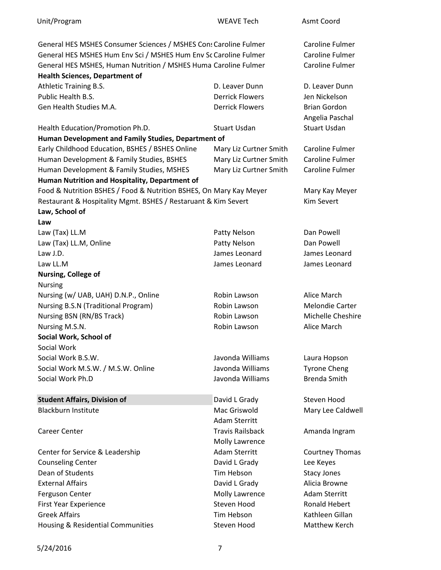| Unit/Program                                                       | <b>WEAVE Tech</b>       | Asmt Coord             |
|--------------------------------------------------------------------|-------------------------|------------------------|
| General HES MSHES Consumer Sciences / MSHES Cons Caroline Fulmer   |                         | Caroline Fulmer        |
| General HES MSHES Hum Env Sci / MSHES Hum Env Sc Caroline Fulmer   |                         | Caroline Fulmer        |
| General HES MSHES, Human Nutrition / MSHES Huma Caroline Fulmer    |                         | <b>Caroline Fulmer</b> |
| <b>Health Sciences, Department of</b>                              |                         |                        |
| Athletic Training B.S.                                             | D. Leaver Dunn          | D. Leaver Dunn         |
| Public Health B.S.                                                 | <b>Derrick Flowers</b>  | Jen Nickelson          |
| Gen Health Studies M.A.                                            | <b>Derrick Flowers</b>  | <b>Brian Gordon</b>    |
|                                                                    |                         | Angelia Paschal        |
| Health Education/Promotion Ph.D.                                   | <b>Stuart Usdan</b>     | <b>Stuart Usdan</b>    |
| Human Development and Family Studies, Department of                |                         |                        |
| Early Childhood Education, BSHES / BSHES Online                    | Mary Liz Curtner Smith  | Caroline Fulmer        |
| Human Development & Family Studies, BSHES                          | Mary Liz Curtner Smith  | <b>Caroline Fulmer</b> |
| Human Development & Family Studies, MSHES                          | Mary Liz Curtner Smith  | Caroline Fulmer        |
| Human Nutrition and Hospitality, Department of                     |                         |                        |
| Food & Nutrition BSHES / Food & Nutrition BSHES, On Mary Kay Meyer |                         | Mary Kay Meyer         |
| Restaurant & Hospitality Mgmt. BSHES / Restaruant & Kim Severt     |                         | <b>Kim Severt</b>      |
| Law, School of                                                     |                         |                        |
| Law                                                                |                         |                        |
| Law (Tax) LL.M                                                     | Patty Nelson            | Dan Powell             |
| Law (Tax) LL.M, Online                                             | Patty Nelson            | Dan Powell             |
| Law J.D.                                                           | James Leonard           | James Leonard          |
| Law LL.M                                                           | James Leonard           | James Leonard          |
| Nursing, College of                                                |                         |                        |
| <b>Nursing</b>                                                     |                         |                        |
| Nursing (w/ UAB, UAH) D.N.P., Online                               | Robin Lawson            | Alice March            |
| <b>Nursing B.S.N (Traditional Program)</b>                         | Robin Lawson            | <b>Melondie Carter</b> |
| Nursing BSN (RN/BS Track)                                          | Robin Lawson            | Michelle Cheshire      |
| Nursing M.S.N.                                                     | Robin Lawson            | Alice March            |
| Social Work, School of                                             |                         |                        |
| Social Work                                                        |                         |                        |
| Social Work B.S.W.                                                 | Javonda Williams        | Laura Hopson           |
| Social Work M.S.W. / M.S.W. Online                                 | Javonda Williams        | <b>Tyrone Cheng</b>    |
| Social Work Ph.D                                                   | Javonda Williams        | <b>Brenda Smith</b>    |
|                                                                    |                         |                        |
| <b>Student Affairs, Division of</b>                                | David L Grady           | Steven Hood            |
| <b>Blackburn Institute</b>                                         | Mac Griswold            | Mary Lee Caldwell      |
|                                                                    | <b>Adam Sterritt</b>    |                        |
| <b>Career Center</b>                                               | <b>Travis Railsback</b> | Amanda Ingram          |
|                                                                    | Molly Lawrence          |                        |
| Center for Service & Leadership                                    | <b>Adam Sterritt</b>    | Courtney Thomas        |
| <b>Counseling Center</b>                                           | David L Grady           | Lee Keyes              |
| Dean of Students                                                   | Tim Hebson              | <b>Stacy Jones</b>     |
| <b>External Affairs</b>                                            | David L Grady           | Alicia Browne          |
| Ferguson Center                                                    | Molly Lawrence          | <b>Adam Sterritt</b>   |
| <b>First Year Experience</b>                                       | Steven Hood             | <b>Ronald Hebert</b>   |
| <b>Greek Affairs</b>                                               | Tim Hebson              | Kathleen Gillan        |
| Housing & Residential Communities                                  | Steven Hood             | Matthew Kerch          |